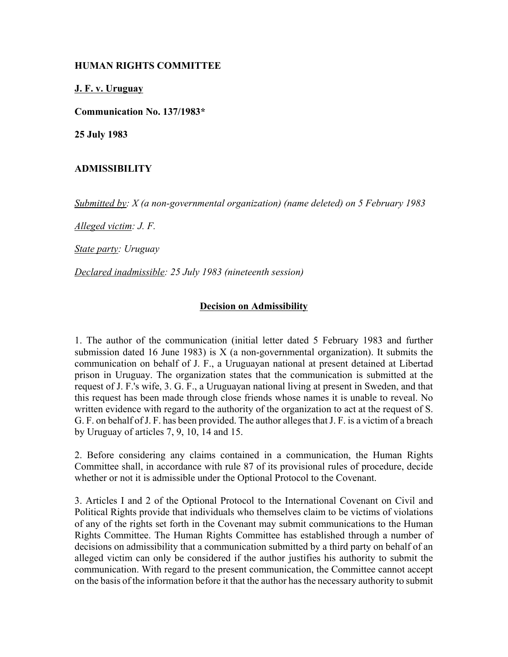## **HUMAN RIGHTS COMMITTEE**

**J. F. v. Uruguay**

**Communication No. 137/1983\***

**25 July 1983**

## **ADMISSIBILITY**

*Submitted by: X (a non-governmental organization) (name deleted) on 5 February 1983* 

*Alleged victim: J. F.* 

*State party: Uruguay* 

*Declared inadmissible: 25 July 1983 (nineteenth session)*

## **Decision on Admissibility**

1. The author of the communication (initial letter dated 5 February 1983 and further submission dated 16 June 1983) is  $X$  (a non-governmental organization). It submits the communication on behalf of J. F., a Uruguayan national at present detained at Libertad prison in Uruguay. The organization states that the communication is submitted at the request of J. F.'s wife, 3. G. F., a Uruguayan national living at present in Sweden, and that this request has been made through close friends whose names it is unable to reveal. No written evidence with regard to the authority of the organization to act at the request of S. G. F. on behalf of J. F. has been provided. The author alleges that J. F. is a victim of a breach by Uruguay of articles 7, 9, 10, 14 and 15.

2. Before considering any claims contained in a communication, the Human Rights Committee shall, in accordance with rule 87 of its provisional rules of procedure, decide whether or not it is admissible under the Optional Protocol to the Covenant.

3. Articles I and 2 of the Optional Protocol to the International Covenant on Civil and Political Rights provide that individuals who themselves claim to be victims of violations of any of the rights set forth in the Covenant may submit communications to the Human Rights Committee. The Human Rights Committee has established through a number of decisions on admissibility that a communication submitted by a third party on behalf of an alleged victim can only be considered if the author justifies his authority to submit the communication. With regard to the present communication, the Committee cannot accept on the basis of the information before it that the author has the necessary authority to submit